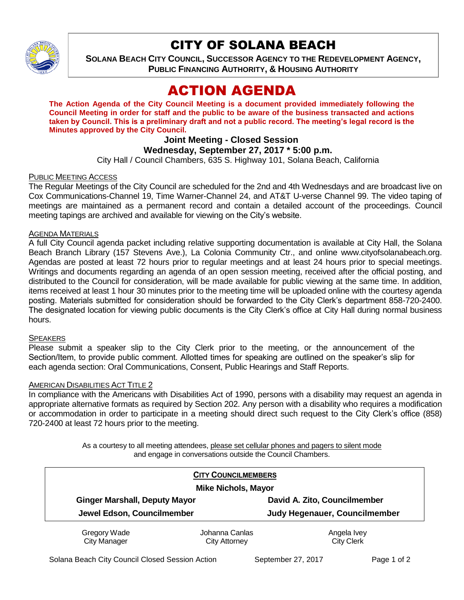

## CITY OF SOLANA BEACH

**SOLANA BEACH CITY COUNCIL, SUCCESSOR AGENCY TO THE REDEVELOPMENT AGENCY, PUBLIC FINANCING AUTHORITY, & HOUSING AUTHORITY** 

# ACTION AGENDA

**The Action Agenda of the City Council Meeting is a document provided immediately following the Council Meeting in order for staff and the public to be aware of the business transacted and actions taken by Council. This is a preliminary draft and not a public record. The meeting's legal record is the Minutes approved by the City Council.**

## **Joint Meeting - Closed Session**

## **Wednesday, September 27, 2017 \* 5:00 p.m.**

City Hall / Council Chambers, 635 S. Highway 101, Solana Beach, California

#### PUBLIC MEETING ACCESS

The Regular Meetings of the City Council are scheduled for the 2nd and 4th Wednesdays and are broadcast live on Cox Communications-Channel 19, Time Warner-Channel 24, and AT&T U-verse Channel 99. The video taping of meetings are maintained as a permanent record and contain a detailed account of the proceedings. Council meeting tapings are archived and available for viewing on the City's website.

#### AGENDA MATERIALS

A full City Council agenda packet including relative supporting documentation is available at City Hall, the Solana Beach Branch Library (157 Stevens Ave.), La Colonia Community Ctr., and online www.cityofsolanabeach.org. Agendas are posted at least 72 hours prior to regular meetings and at least 24 hours prior to special meetings. Writings and documents regarding an agenda of an open session meeting, received after the official posting, and distributed to the Council for consideration, will be made available for public viewing at the same time. In addition, items received at least 1 hour 30 minutes prior to the meeting time will be uploaded online with the courtesy agenda posting. Materials submitted for consideration should be forwarded to the City Clerk's department 858-720-2400. The designated location for viewing public documents is the City Clerk's office at City Hall during normal business hours.

#### **SPEAKERS**

Please submit a speaker slip to the City Clerk prior to the meeting, or the announcement of the Section/Item, to provide public comment. Allotted times for speaking are outlined on the speaker's slip for each agenda section: Oral Communications, Consent, Public Hearings and Staff Reports.

#### AMERICAN DISABILITIES ACT TITLE 2

In compliance with the Americans with Disabilities Act of 1990, persons with a disability may request an agenda in appropriate alternative formats as required by Section 202. Any person with a disability who requires a modification or accommodation in order to participate in a meeting should direct such request to the City Clerk's office (858) 720-2400 at least 72 hours prior to the meeting.

> As a courtesy to all meeting attendees, please set cellular phones and pagers to silent mode and engage in conversations outside the Council Chambers.

| <b>CITY COUNCILMEMBERS</b><br><b>Mike Nichols, Mayor</b> |                |                               |
|----------------------------------------------------------|----------------|-------------------------------|
|                                                          |                |                               |
| Jewel Edson, Councilmember                               |                | Judy Hegenauer, Councilmember |
| Gregory Wade                                             | Johanna Canlas | Angela Ivey                   |
| <b>City Manager</b>                                      | City Attorney  | <b>City Clerk</b>             |